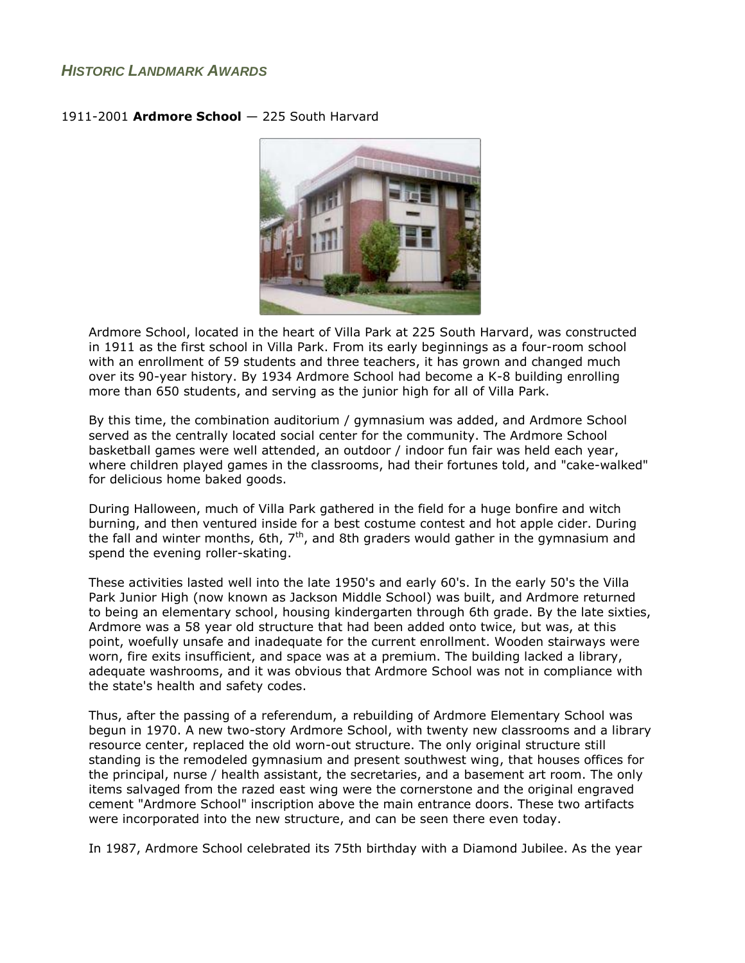## *HISTORIC LANDMARK AWARDS*



## 1911-2001 **Ardmore School** — 225 South Harvard

Ardmore School, located in the heart of Villa Park at 225 South Harvard, was constructed in 1911 as the first school in Villa Park. From its early beginnings as a four-room school with an enrollment of 59 students and three teachers, it has grown and changed much over its 90-year history. By 1934 Ardmore School had become a K-8 building enrolling more than 650 students, and serving as the junior high for all of Villa Park.

By this time, the combination auditorium / gymnasium was added, and Ardmore School served as the centrally located social center for the community. The Ardmore School basketball games were well attended, an outdoor / indoor fun fair was held each year, where children played games in the classrooms, had their fortunes told, and "cake-walked" for delicious home baked goods.

During Halloween, much of Villa Park gathered in the field for a huge bonfire and witch burning, and then ventured inside for a best costume contest and hot apple cider. During the fall and winter months, 6th,  $7<sup>th</sup>$ , and 8th graders would gather in the gymnasium and spend the evening roller-skating.

These activities lasted well into the late 1950's and early 60's. In the early 50's the Villa Park Junior High (now known as Jackson Middle School) was built, and Ardmore returned to being an elementary school, housing kindergarten through 6th grade. By the late sixties, Ardmore was a 58 year old structure that had been added onto twice, but was, at this point, woefully unsafe and inadequate for the current enrollment. Wooden stairways were worn, fire exits insufficient, and space was at a premium. The building lacked a library, adequate washrooms, and it was obvious that Ardmore School was not in compliance with the state's health and safety codes.

Thus, after the passing of a referendum, a rebuilding of Ardmore Elementary School was begun in 1970. A new two-story Ardmore School, with twenty new classrooms and a library resource center, replaced the old worn-out structure. The only original structure still standing is the remodeled gymnasium and present southwest wing, that houses offices for the principal, nurse / health assistant, the secretaries, and a basement art room. The only items salvaged from the razed east wing were the cornerstone and the original engraved cement "Ardmore School" inscription above the main entrance doors. These two artifacts were incorporated into the new structure, and can be seen there even today.

In 1987, Ardmore School celebrated its 75th birthday with a Diamond Jubilee. As the year